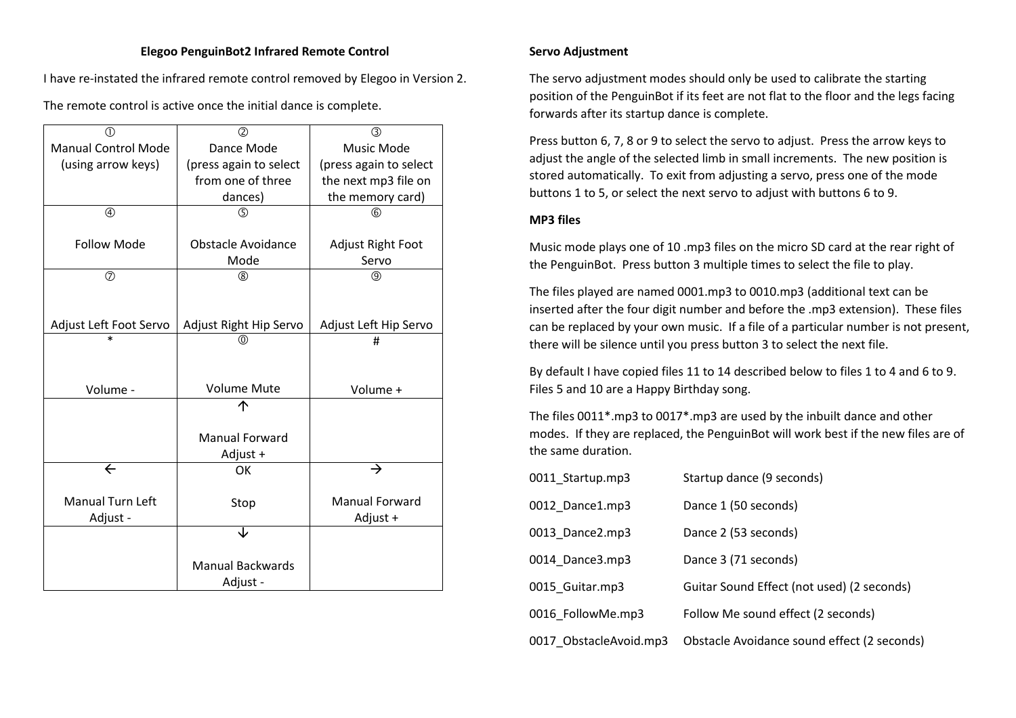### **Elegoo PenguinBot2 Infrared Remote Control**

I have re-instated the infrared remote control removed by Elegoo in Version 2.

The remote control is active once the initial dance is complete.

| ⋒                          | $\circled{2}$             | $\circled{3}$            |
|----------------------------|---------------------------|--------------------------|
| <b>Manual Control Mode</b> | Dance Mode                | <b>Music Mode</b>        |
| (using arrow keys)         | (press again to select    | (press again to select   |
|                            | from one of three         | the next mp3 file on     |
|                            | dances)                   | the memory card)         |
| $\circledA$                | $\circledS$               | $\circled6$              |
|                            |                           |                          |
| <b>Follow Mode</b>         | <b>Obstacle Avoidance</b> | <b>Adjust Right Foot</b> |
|                            | Mode                      | Servo                    |
| $\circledcirc$             | $^{\circledR}$            | $^{\circledR}$           |
|                            |                           |                          |
|                            |                           |                          |
| Adjust Left Foot Servo     | Adjust Right Hip Servo    | Adjust Left Hip Servo    |
| $\ast$                     | ത                         | #                        |
|                            |                           |                          |
|                            |                           |                          |
| Volume -                   | <b>Volume Mute</b>        | Volume +                 |
|                            |                           |                          |
|                            |                           |                          |
|                            | <b>Manual Forward</b>     |                          |
|                            | Adjust +                  |                          |
| $\leftarrow$               | OK                        | →                        |
|                            |                           |                          |
| <b>Manual Turn Left</b>    | Stop                      | <b>Manual Forward</b>    |
| Adjust -                   |                           | Adjust +                 |
|                            |                           |                          |
|                            |                           |                          |
|                            | <b>Manual Backwards</b>   |                          |
|                            | Adjust -                  |                          |

### **Servo Adjustment**

The servo adjustment modes should only be used to calibrate the starting position of the PenguinBot if its feet are not flat to the floor and the legs facing forwards after its startup dance is complete.

Press button 6, 7, 8 or 9 to select the servo to adjust. Press the arrow keys to adjust the angle of the selected limb in small increments. The new position is stored automatically. To exit from adjusting a servo, press one of the mode buttons 1 to 5, or select the next servo to adjust with buttons 6 to 9.

### **MP3 files**

Music mode plays one of 10 .mp3 files on the micro SD card at the rear right of the PenguinBot. Press button 3 multiple times to select the file to play.

The files played are named 0001.mp3 to 0010.mp3 (additional text can be inserted after the four digit number and before the .mp3 extension). These files can be replaced by your own music. If a file of a particular number is not present, there will be silence until you press button 3 to select the next file.

By default I have copied files 11 to 14 described below to files 1 to 4 and 6 to 9. Files 5 and 10 are a Happy Birthday song.

The files 0011\*.mp3 to 0017\*.mp3 are used by the inbuilt dance and other modes. If they are replaced, the PenguinBot will work best if the new files are of the same duration.

| 0011 Startup.mp3       | Startup dance (9 seconds)                   |
|------------------------|---------------------------------------------|
| 0012 Dance1.mp3        | Dance 1 (50 seconds)                        |
| 0013_Dance2.mp3        | Dance 2 (53 seconds)                        |
| 0014 Dance3.mp3        | Dance 3 (71 seconds)                        |
| 0015 Guitar.mp3        | Guitar Sound Effect (not used) (2 seconds)  |
| 0016 FollowMe.mp3      | Follow Me sound effect (2 seconds)          |
| 0017 ObstacleAvoid.mp3 | Obstacle Avoidance sound effect (2 seconds) |